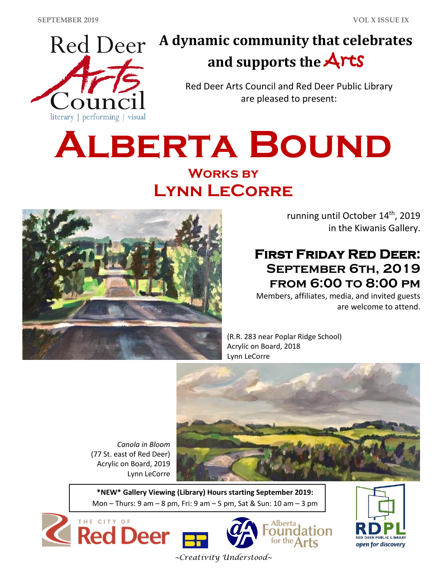

# **A dynamic community that celebrates and supports the** Arts

Red Deer Arts Council and Red Deer Public Library are pleased to present:

# **ALBERTA BOUND Works by Lynn LeCorre**



*Canola in Bloom*

Lynn LeCorre

(77 St. east of Red Deer) Acrylic on Board, 2019

THE CITY OF

**Red Deer** 

running until October 14<sup>th</sup>, 2019 in the Kiwanis Gallery.

## **First Friday Red Deer: September 6th, 2019 from 6:00 to 8:00 pm**

Members, affiliates, media, and invited guests are welcome to attend.

(R.R. 283 near Poplar Ridge School) Acrylic on Board, 2018 Lynn LeCorre



ounda for the  $Arts$ 

**\*NEW\* Gallery Viewing (Library) Hours starting September 2019:** Mon – Thurs: 9 am – 8 pm, Fri: 9 am – 5 pm, Sat & Sun: 10 am – 3 pm



*~Creativity Understood~*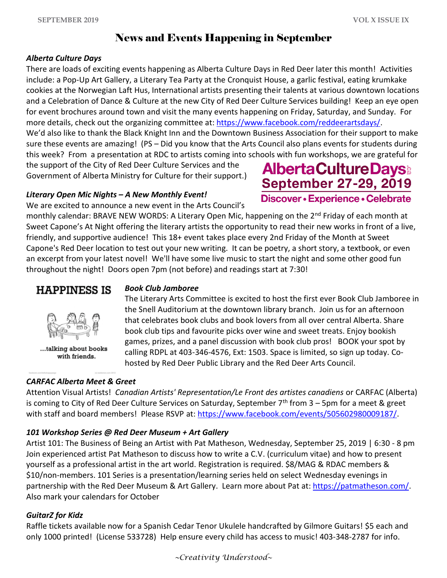**AlbertaCultureDays** September 27-29, 2019

Discover • Experience • Celebrate

#### News and Events Happening in September

#### *Alberta Culture Days*

There are loads of exciting events happening as Alberta Culture Days in Red Deer later this month! Activities include: a Pop-Up Art Gallery, a Literary Tea Party at the Cronquist House, a garlic festival, eating krumkake cookies at the Norwegian Laft Hus, International artists presenting their talents at various downtown locations and a Celebration of Dance & Culture at the new City of Red Deer Culture Services building! Keep an eye open for event brochures around town and visit the many events happening on Friday, Saturday, and Sunday. For more details, check out the organizing committee at[: https://www.facebook.com/reddeerartsdays/.](https://www.facebook.com/reddeerartsdays/) We'd also like to thank the Black Knight Inn and the Downtown Business Association for their support to make sure these events are amazing! (PS – Did you know that the Arts Council also plans events for students during this week? From a presentation at RDC to artists coming into schools with fun workshops, we are grateful for

the support of the City of Red Deer Culture Services and the Government of Alberta Ministry for Culture for their support.)

#### *Literary Open Mic Nights – A New Monthly Event!*

We are excited to announce a new event in the Arts Council's

monthly calendar: BRAVE NEW WORDS: A Literary Open Mic, happening on the 2<sup>nd</sup> Friday of each month at Sweet Capone's At Night offering the literary artists the opportunity to read their new works in front of a live, friendly, and supportive audience! This 18+ event takes place every 2nd Friday of the Month at Sweet Capone's Red Deer location to test out your new writing. It can be poetry, a short story, a textbook, or even an excerpt from your latest novel! We'll have some live music to start the night and some other good fun throughout the night! Doors open 7pm (not before) and readings start at 7:30!

#### **HAPPINESS IS**



...talking about books with friends.

#### *CARFAC Alberta Meet & Greet*

#### *Book Club Jamboree*

The Literary Arts Committee is excited to host the first ever Book Club Jamboree in the Snell Auditorium at the downtown library branch. Join us for an afternoon that celebrates book clubs and book lovers from all over central Alberta. Share book club tips and favourite picks over wine and sweet treats. Enjoy bookish games, prizes, and a panel discussion with book club pros! BOOK your spot by calling RDPL at 403-346-4576, Ext: 1503. Space is limited, so sign up today. Cohosted by Red Deer Public Library and the Red Deer Arts Council.

Attention Visual Artists! *Canadian Artists' Representation/Le Front des artistes canadiens* or CARFAC (Alberta) is coming to City of Red Deer Culture Services on Saturday, September 7<sup>th</sup> from 3 - 5pm for a meet & greet with staff and board members! Please RSVP at[: https://www.facebook.com/events/505602980009187/.](https://www.facebook.com/events/505602980009187/)

#### *101 Workshop Series @ Red Deer Museum + Art Gallery*

Artist 101: The Business of Being an Artist with Pat Matheson, Wednesday, September 25, 2019 | 6:30 - 8 pm Join experienced artist Pat Matheson to discuss how to write a C.V. (curriculum vitae) and how to present yourself as a professional artist in the art world. Registration is required. \$8/MAG & RDAC members & \$10/non-members. 101 Series is a presentation/learning series held on select Wednesday evenings in partnership with the Red Deer Museum & Art Gallery. Learn more about Pat at[: https://patmatheson.com/.](https://patmatheson.com/) Also mark your calendars for October

#### *GuitarZ for Kidz*

Raffle tickets available now for a Spanish Cedar Tenor Ukulele handcrafted by Gilmore Guitars! \$5 each and only 1000 printed! (License 533728) Help ensure every child has access to music! 403-348-2787 for info.